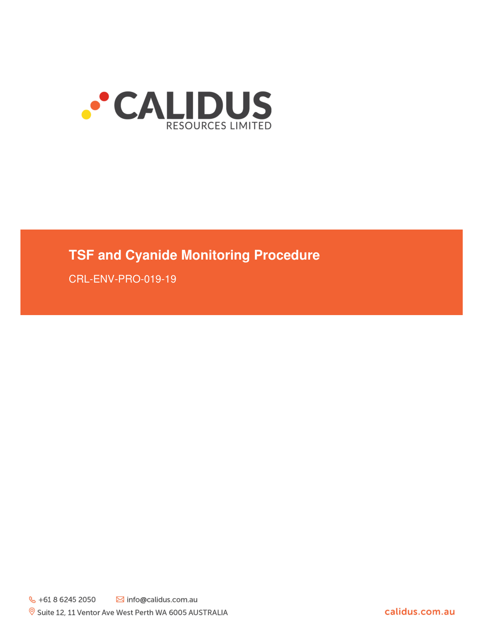

# **TSF and Cyanide Monitoring Procedure**

CRL-ENV-PRO-019-19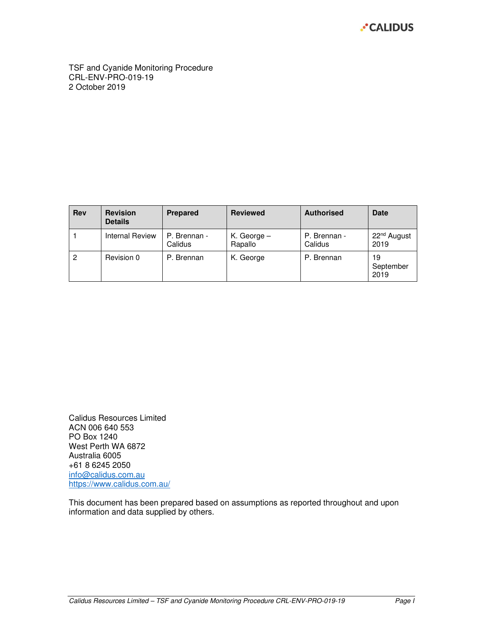

TSF and Cyanide Monitoring Procedure CRL-ENV-PRO-019-19 2 October 2019

| <b>Rev</b> | <b>Revision</b><br><b>Details</b> | <b>Prepared</b>         | <b>Reviewed</b>          | <b>Authorised</b>       | <b>Date</b>                     |
|------------|-----------------------------------|-------------------------|--------------------------|-------------------------|---------------------------------|
|            | Internal Review                   | P. Brennan -<br>Calidus | K. George $-$<br>Rapallo | P. Brennan -<br>Calidus | 22 <sup>nd</sup> August<br>2019 |
| 2          | Revision 0                        | P. Brennan              | K. George                | P. Brennan              | 19<br>September<br>2019         |

Calidus Resources Limited ACN 006 640 553 PO Box 1240 West Perth WA 6872 Australia 6005 +61 8 6245 2050 info@calidus.com.au https://www.calidus.com.au/

This document has been prepared based on assumptions as reported throughout and upon information and data supplied by others.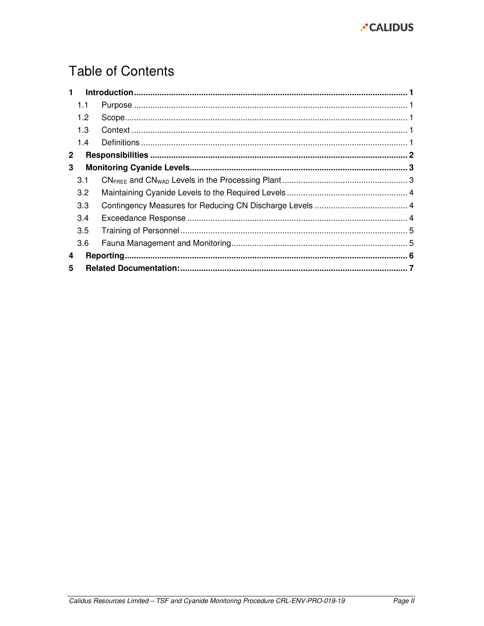

# **Table of Contents**

| 1.           |                  |  |  |  |
|--------------|------------------|--|--|--|
|              | 1.1              |  |  |  |
|              | 1.2 <sub>2</sub> |  |  |  |
|              | 1.3              |  |  |  |
|              | 1.4              |  |  |  |
| $\mathbf{2}$ |                  |  |  |  |
| 3            |                  |  |  |  |
|              | 3.1              |  |  |  |
|              | 3.2              |  |  |  |
|              | 3.3              |  |  |  |
|              | 3.4              |  |  |  |
|              | 3.5              |  |  |  |
|              | 3.6              |  |  |  |
| 4            |                  |  |  |  |
| 5            |                  |  |  |  |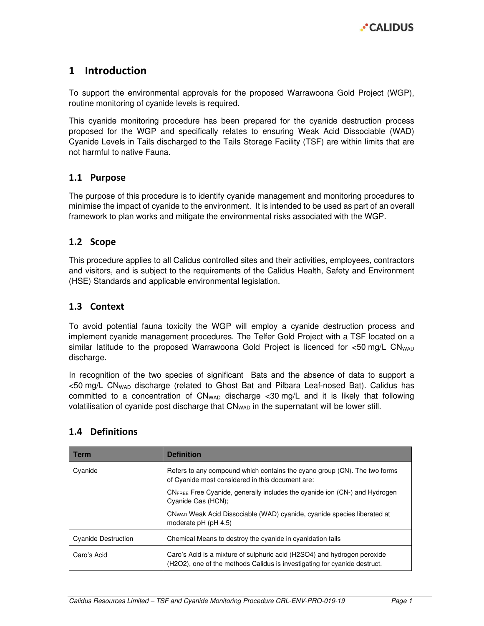## 1 Introduction

To support the environmental approvals for the proposed Warrawoona Gold Project (WGP), routine monitoring of cyanide levels is required.

This cyanide monitoring procedure has been prepared for the cyanide destruction process proposed for the WGP and specifically relates to ensuring Weak Acid Dissociable (WAD) Cyanide Levels in Tails discharged to the Tails Storage Facility (TSF) are within limits that are not harmful to native Fauna.

#### 1.1 Purpose

The purpose of this procedure is to identify cyanide management and monitoring procedures to minimise the impact of cyanide to the environment. It is intended to be used as part of an overall framework to plan works and mitigate the environmental risks associated with the WGP.

#### 1.2 Scope

This procedure applies to all Calidus controlled sites and their activities, employees, contractors and visitors, and is subject to the requirements of the Calidus Health, Safety and Environment (HSE) Standards and applicable environmental legislation.

#### 1.3 Context

To avoid potential fauna toxicity the WGP will employ a cyanide destruction process and implement cyanide management procedures. The Telfer Gold Project with a TSF located on a similar latitude to the proposed Warrawoona Gold Project is licenced for  $<$ 50 mg/L CN<sub>WAD</sub> discharge.

In recognition of the two species of significant Bats and the absence of data to support a <50 mg/L CNWAD discharge (related to Ghost Bat and Pilbara Leaf-nosed Bat). Calidus has committed to a concentration of  $CN<sub>WAD</sub>$  discharge <30 mg/L and it is likely that following volatilisation of cyanide post discharge that CN<sub>WAD</sub> in the supernatant will be lower still.

| <b>Term</b>                | <b>Definition</b>                                                                                                                                     |  |
|----------------------------|-------------------------------------------------------------------------------------------------------------------------------------------------------|--|
| Cyanide                    | Refers to any compound which contains the cyano group (CN). The two forms<br>of Cyanide most considered in this document are:                         |  |
|                            | CNFREE Free Cyanide, generally includes the cyanide ion (CN-) and Hydrogen<br>Cyanide Gas (HCN);                                                      |  |
|                            | CN <sub>WAD</sub> Weak Acid Dissociable (WAD) cyanide, cyanide species liberated at<br>moderate pH (pH 4.5)                                           |  |
| <b>Cyanide Destruction</b> | Chemical Means to destroy the cyanide in cyanidation tails                                                                                            |  |
| Caro's Acid                | Caro's Acid is a mixture of sulphuric acid (H2SO4) and hydrogen peroxide<br>(H2O2), one of the methods Calidus is investigating for cyanide destruct. |  |

## 1.4 Definitions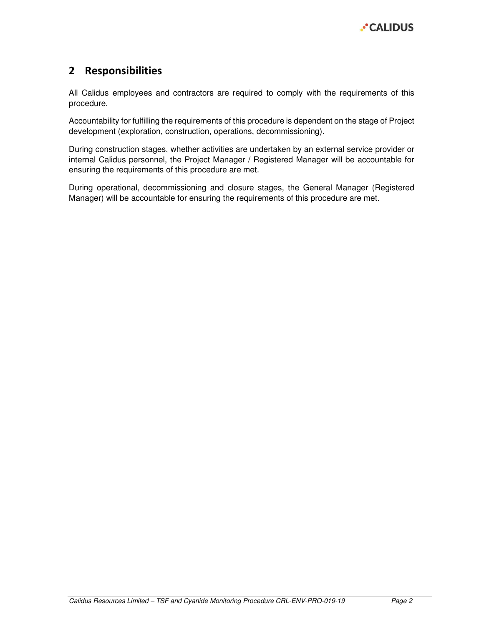

## 2 Responsibilities

All Calidus employees and contractors are required to comply with the requirements of this procedure.

Accountability for fulfilling the requirements of this procedure is dependent on the stage of Project development (exploration, construction, operations, decommissioning).

During construction stages, whether activities are undertaken by an external service provider or internal Calidus personnel, the Project Manager / Registered Manager will be accountable for ensuring the requirements of this procedure are met.

During operational, decommissioning and closure stages, the General Manager (Registered Manager) will be accountable for ensuring the requirements of this procedure are met.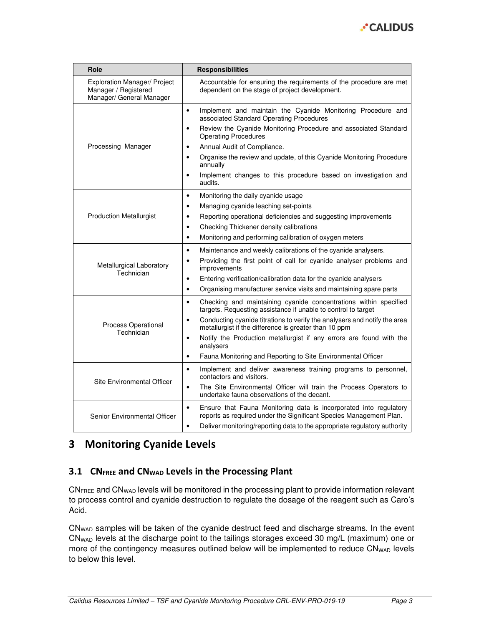

| Role                                                                                    | <b>Responsibilities</b>                                                                                                                                                                                                                        |  |  |
|-----------------------------------------------------------------------------------------|------------------------------------------------------------------------------------------------------------------------------------------------------------------------------------------------------------------------------------------------|--|--|
| <b>Exploration Manager/ Project</b><br>Manager / Registered<br>Manager/ General Manager | Accountable for ensuring the requirements of the procedure are met<br>dependent on the stage of project development.                                                                                                                           |  |  |
|                                                                                         | Implement and maintain the Cyanide Monitoring Procedure and<br>$\bullet$<br>associated Standard Operating Procedures                                                                                                                           |  |  |
|                                                                                         | Review the Cyanide Monitoring Procedure and associated Standard<br>٠<br><b>Operating Procedures</b>                                                                                                                                            |  |  |
| Processing Manager                                                                      | Annual Audit of Compliance.<br>٠                                                                                                                                                                                                               |  |  |
|                                                                                         | Organise the review and update, of this Cyanide Monitoring Procedure<br>٠<br>annually                                                                                                                                                          |  |  |
|                                                                                         | Implement changes to this procedure based on investigation and<br>audits.                                                                                                                                                                      |  |  |
|                                                                                         | Monitoring the daily cyanide usage<br>$\bullet$                                                                                                                                                                                                |  |  |
|                                                                                         | Managing cyanide leaching set-points<br>$\bullet$                                                                                                                                                                                              |  |  |
| <b>Production Metallurgist</b>                                                          | Reporting operational deficiencies and suggesting improvements<br>$\bullet$                                                                                                                                                                    |  |  |
|                                                                                         | Checking Thickener density calibrations<br>$\bullet$                                                                                                                                                                                           |  |  |
|                                                                                         | Monitoring and performing calibration of oxygen meters<br>$\bullet$                                                                                                                                                                            |  |  |
|                                                                                         | Maintenance and weekly calibrations of the cyanide analysers.<br>$\bullet$                                                                                                                                                                     |  |  |
| Metallurgical Laboratory<br>Technician                                                  | Providing the first point of call for cyanide analyser problems and<br>$\bullet$<br>improvements                                                                                                                                               |  |  |
|                                                                                         | Entering verification/calibration data for the cyanide analysers<br>٠                                                                                                                                                                          |  |  |
|                                                                                         | Organising manufacturer service visits and maintaining spare parts<br>$\bullet$                                                                                                                                                                |  |  |
|                                                                                         | Checking and maintaining cyanide concentrations within specified<br>$\bullet$<br>targets. Requesting assistance if unable to control to target                                                                                                 |  |  |
| Process Operational<br>Technician                                                       | Conducting cyanide titrations to verify the analysers and notify the area<br>$\bullet$<br>metallurgist if the difference is greater than 10 ppm                                                                                                |  |  |
|                                                                                         | Notify the Production metallurgist if any errors are found with the<br>$\bullet$<br>analysers                                                                                                                                                  |  |  |
|                                                                                         | Fauna Monitoring and Reporting to Site Environmental Officer<br>$\bullet$                                                                                                                                                                      |  |  |
|                                                                                         | Implement and deliver awareness training programs to personnel,<br>$\bullet$<br>contactors and visitors.                                                                                                                                       |  |  |
| Site Environmental Officer                                                              | The Site Environmental Officer will train the Process Operators to<br>٠<br>undertake fauna observations of the decant.                                                                                                                         |  |  |
| Senior Environmental Officer                                                            | Ensure that Fauna Monitoring data is incorporated into regulatory<br>$\bullet$<br>reports as required under the Significant Species Management Plan.<br>Deliver monitoring/reporting data to the appropriate regulatory authority<br>$\bullet$ |  |  |

# 3 Monitoring Cyanide Levels

#### 3.1 CN $F_{REE}$  and CN<sub>WAD</sub> Levels in the Processing Plant

CN<sub>FREE</sub> and CN<sub>WAD</sub> levels will be monitored in the processing plant to provide information relevant to process control and cyanide destruction to regulate the dosage of the reagent such as Caro's Acid.

CNWAD samples will be taken of the cyanide destruct feed and discharge streams. In the event CNWAD levels at the discharge point to the tailings storages exceed 30 mg/L (maximum) one or more of the contingency measures outlined below will be implemented to reduce CN<sub>WAD</sub> levels to below this level.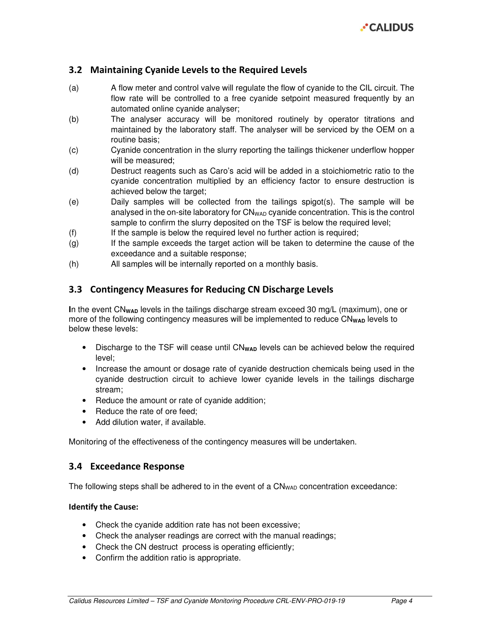

#### 3.2 Maintaining Cyanide Levels to the Required Levels

- (a) A flow meter and control valve will regulate the flow of cyanide to the CIL circuit. The flow rate will be controlled to a free cyanide setpoint measured frequently by an automated online cyanide analyser;
- (b) The analyser accuracy will be monitored routinely by operator titrations and maintained by the laboratory staff. The analyser will be serviced by the OEM on a routine basis;
- (c) Cyanide concentration in the slurry reporting the tailings thickener underflow hopper will be measured;
- (d) Destruct reagents such as Caro's acid will be added in a stoichiometric ratio to the cyanide concentration multiplied by an efficiency factor to ensure destruction is achieved below the target;
- (e) Daily samples will be collected from the tailings spigot(s). The sample will be analysed in the on-site laboratory for  $CN<sub>WAD</sub>$  cyanide concentration. This is the control sample to confirm the slurry deposited on the TSF is below the required level;
- (f) If the sample is below the required level no further action is required;
- (g) If the sample exceeds the target action will be taken to determine the cause of the exceedance and a suitable response;
- (h) All samples will be internally reported on a monthly basis.

#### 3.3 Contingency Measures for Reducing CN Discharge Levels

In the event CN<sub>WAD</sub> levels in the tailings discharge stream exceed 30 mg/L (maximum), one or more of the following contingency measures will be implemented to reduce CN<sub>WAD</sub> levels to below these levels:

- Discharge to the TSF will cease until CN<sub>WAD</sub> levels can be achieved below the required level;
- Increase the amount or dosage rate of cyanide destruction chemicals being used in the cyanide destruction circuit to achieve lower cyanide levels in the tailings discharge stream;
- Reduce the amount or rate of cyanide addition;
- Reduce the rate of ore feed:
- Add dilution water, if available.

Monitoring of the effectiveness of the contingency measures will be undertaken.

#### 3.4 Exceedance Response

The following steps shall be adhered to in the event of a CN<sub>WAD</sub> concentration exceedance:

#### Identify the Cause:

- Check the cyanide addition rate has not been excessive;
- Check the analyser readings are correct with the manual readings:
- Check the CN destruct process is operating efficiently;
- Confirm the addition ratio is appropriate.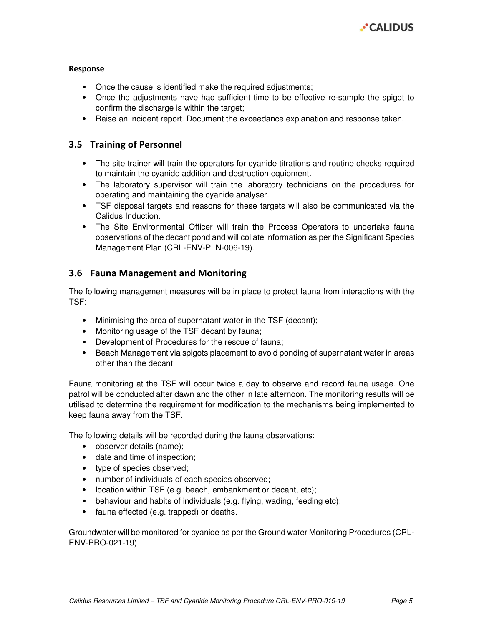

#### Response

- Once the cause is identified make the required adjustments;
- Once the adjustments have had sufficient time to be effective re-sample the spigot to confirm the discharge is within the target;
- Raise an incident report. Document the exceedance explanation and response taken.

#### 3.5 Training of Personnel

- The site trainer will train the operators for cyanide titrations and routine checks required to maintain the cyanide addition and destruction equipment.
- The laboratory supervisor will train the laboratory technicians on the procedures for operating and maintaining the cyanide analyser.
- TSF disposal targets and reasons for these targets will also be communicated via the Calidus Induction.
- The Site Environmental Officer will train the Process Operators to undertake fauna observations of the decant pond and will collate information as per the Significant Species Management Plan (CRL-ENV-PLN-006-19).

#### 3.6 Fauna Management and Monitoring

The following management measures will be in place to protect fauna from interactions with the TSF:

- Minimising the area of supernatant water in the TSF (decant);
- Monitoring usage of the TSF decant by fauna;
- Development of Procedures for the rescue of fauna;
- Beach Management via spigots placement to avoid ponding of supernatant water in areas other than the decant

Fauna monitoring at the TSF will occur twice a day to observe and record fauna usage. One patrol will be conducted after dawn and the other in late afternoon. The monitoring results will be utilised to determine the requirement for modification to the mechanisms being implemented to keep fauna away from the TSF.

The following details will be recorded during the fauna observations:

- observer details (name);
- date and time of inspection;
- type of species observed;
- number of individuals of each species observed;
- location within TSF (e.g. beach, embankment or decant, etc);
- behaviour and habits of individuals (e.g. flying, wading, feeding etc);
- fauna effected (e.g. trapped) or deaths.

Groundwater will be monitored for cyanide as per the Ground water Monitoring Procedures (CRL-ENV-PRO-021-19)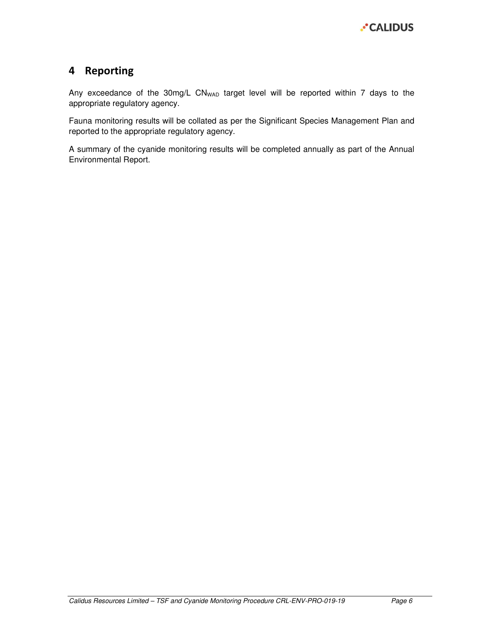# 4 Reporting

Any exceedance of the 30mg/L CN<sub>WAD</sub> target level will be reported within 7 days to the appropriate regulatory agency.

Fauna monitoring results will be collated as per the Significant Species Management Plan and reported to the appropriate regulatory agency.

A summary of the cyanide monitoring results will be completed annually as part of the Annual Environmental Report.